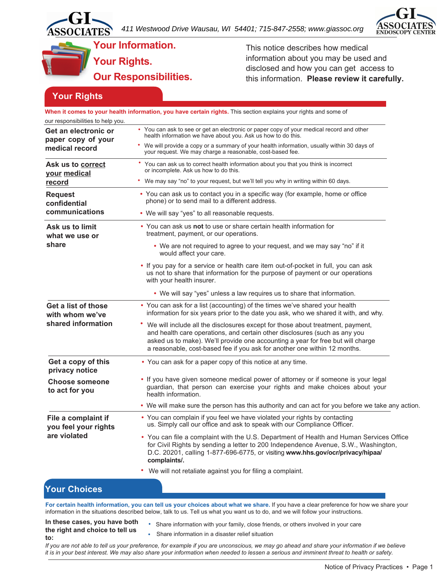

**Your Information.**

**Your Rights. Our Responsibilities.** This notice describes how medical information about you may be used and disclosed and how you can get access to this information. **Please review it carefully.**

# **Your Rights Your Rights**

| our responsibilities to help you.                                               | When it comes to your health information, you have certain rights. This section explains your rights and some of                                                                                                                                                                                                                                                                                                                                                                                                                                                                 |  |  |
|---------------------------------------------------------------------------------|----------------------------------------------------------------------------------------------------------------------------------------------------------------------------------------------------------------------------------------------------------------------------------------------------------------------------------------------------------------------------------------------------------------------------------------------------------------------------------------------------------------------------------------------------------------------------------|--|--|
| Get an electronic or<br>paper copy of your<br>medical record                    | • You can ask to see or get an electronic or paper copy of your medical record and other<br>health information we have about you. Ask us how to do this.<br>• We will provide a copy or a summary of your health information, usually within 30 days of<br>your request. We may charge a reasonable, cost-based fee.                                                                                                                                                                                                                                                             |  |  |
| Ask us to correct<br>your medical<br>record                                     | • You can ask us to correct health information about you that you think is incorrect<br>or incomplete. Ask us how to do this.<br>• We may say "no" to your request, but we'll tell you why in writing within 60 days.                                                                                                                                                                                                                                                                                                                                                            |  |  |
| <b>Request</b><br>confidential<br>communications                                | • You can ask us to contact you in a specific way (for example, home or office<br>phone) or to send mail to a different address.<br>• We will say "yes" to all reasonable requests.                                                                                                                                                                                                                                                                                                                                                                                              |  |  |
| Ask us to limit<br>what we use or<br>share                                      | • You can ask us not to use or share certain health information for<br>treatment, payment, or our operations.<br>• We are not required to agree to your request, and we may say "no" if it<br>would affect your care.<br>• If you pay for a service or health care item out-of-pocket in full, you can ask<br>us not to share that information for the purpose of payment or our operations<br>with your health insurer.                                                                                                                                                         |  |  |
| Get a list of those<br>with whom we've<br>shared information                    | • We will say "yes" unless a law requires us to share that information.<br>• You can ask for a list (accounting) of the times we've shared your health<br>information for six years prior to the date you ask, who we shared it with, and why.<br>• We will include all the disclosures except for those about treatment, payment,<br>and health care operations, and certain other disclosures (such as any you<br>asked us to make). We'll provide one accounting a year for free but will charge<br>a reasonable, cost-based fee if you ask for another one within 12 months. |  |  |
| Get a copy of this<br>privacy notice<br><b>Choose someone</b><br>to act for you | • You can ask for a paper copy of this notice at any time.<br>• If you have given someone medical power of attorney or if someone is your legal<br>guardian, that person can exercise your rights and make choices about your<br>health information.<br>• We will make sure the person has this authority and can act for you before we take any action.                                                                                                                                                                                                                         |  |  |
| File a complaint if<br>you feel your rights<br>are violated                     | • You can complain if you feel we have violated your rights by contacting<br>us. Simply call our office and ask to speak with our Compliance Officer.<br>• You can file a complaint with the U.S. Department of Health and Human Services Office<br>for Civil Rights by sending a letter to 200 Independence Avenue, S.W., Washington,<br>D.C. 20201, calling 1-877-696-6775, or visiting www.hhs.gov/ocr/privacy/hipaa/<br>complaints/.<br>• We will not retaliate against you for filing a complaint.                                                                          |  |  |

## **Your Choices**

**For certain health information, you can tell us your choices about what we share.** If you have a clear preference for how we share your information in the situations described below, talk to us. Tell us what you want us to do, and we will follow your instructions.

**In these cases, you have both the right and choice to tell us to:**

- **•** Share information with your family, close friends, or others involved in your care
- **•** Share information in a disaster relief situation

*If you are not able to tell us your preference, for example if you are unconscious, we may go ahead and share your information if we believe it is in your best interest. We may also share your information when needed to lessen a serious and imminent threat to health or safety.*